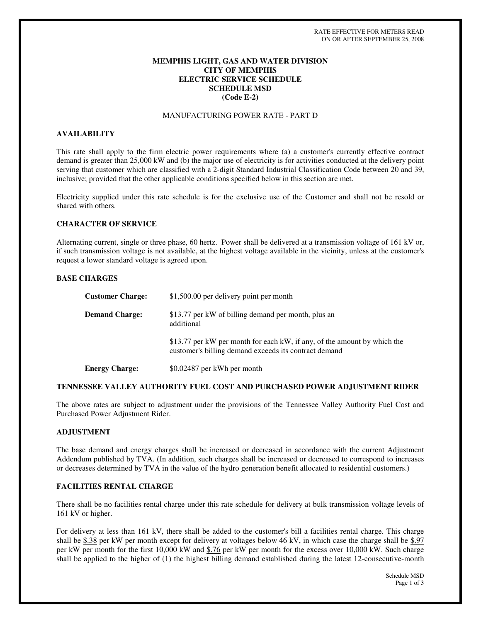# **MEMPHIS LIGHT, GAS AND WATER DIVISION CITY OF MEMPHIS ELECTRIC SERVICE SCHEDULE SCHEDULE MSD (Code E-2)**

## MANUFACTURING POWER RATE - PART D

## **AVAILABILITY**

This rate shall apply to the firm electric power requirements where (a) a customer's currently effective contract demand is greater than 25,000 kW and (b) the major use of electricity is for activities conducted at the delivery point serving that customer which are classified with a 2-digit Standard Industrial Classification Code between 20 and 39, inclusive; provided that the other applicable conditions specified below in this section are met.

Electricity supplied under this rate schedule is for the exclusive use of the Customer and shall not be resold or shared with others.

#### **CHARACTER OF SERVICE**

Alternating current, single or three phase, 60 hertz. Power shall be delivered at a transmission voltage of 161 kV or, if such transmission voltage is not available, at the highest voltage available in the vicinity, unless at the customer's request a lower standard voltage is agreed upon.

#### **BASE CHARGES**

| <b>Customer Charge:</b> | \$1,500.00 per delivery point per month                                                                                           |
|-------------------------|-----------------------------------------------------------------------------------------------------------------------------------|
| <b>Demand Charge:</b>   | \$13.77 per kW of billing demand per month, plus an<br>additional                                                                 |
|                         | \$13.77 per kW per month for each kW, if any, of the amount by which the<br>customer's billing demand exceeds its contract demand |
| <b>Energy Charge:</b>   | \$0.02487 per kWh per month                                                                                                       |

#### **TENNESSEE VALLEY AUTHORITY FUEL COST AND PURCHASED POWER ADJUSTMENT RIDER**

The above rates are subject to adjustment under the provisions of the Tennessee Valley Authority Fuel Cost and Purchased Power Adjustment Rider.

### **ADJUSTMENT**

The base demand and energy charges shall be increased or decreased in accordance with the current Adjustment Addendum published by TVA. (In addition, such charges shall be increased or decreased to correspond to increases or decreases determined by TVA in the value of the hydro generation benefit allocated to residential customers.)

#### **FACILITIES RENTAL CHARGE**

There shall be no facilities rental charge under this rate schedule for delivery at bulk transmission voltage levels of 161 kV or higher.

For delivery at less than 161 kV, there shall be added to the customer's bill a facilities rental charge. This charge shall be  $$.38$  per kW per month except for delivery at voltages below 46 kV, in which case the charge shall be  $$.97$ per kW per month for the first 10,000 kW and \$.76 per kW per month for the excess over 10,000 kW. Such charge shall be applied to the higher of (1) the highest billing demand established during the latest 12-consecutive-month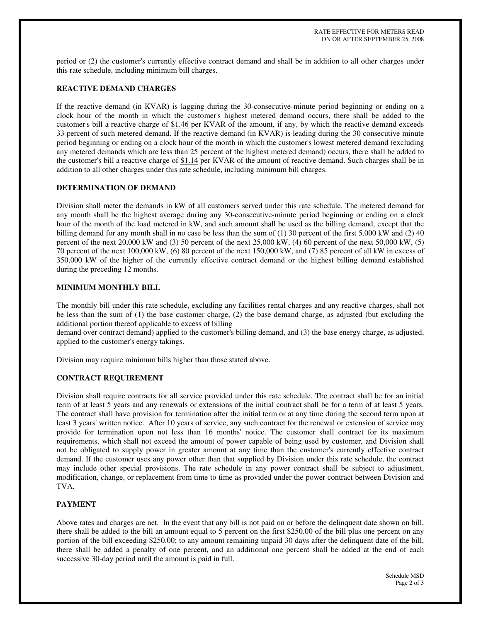period or (2) the customer's currently effective contract demand and shall be in addition to all other charges under this rate schedule, including minimum bill charges.

# **REACTIVE DEMAND CHARGES**

If the reactive demand (in KVAR) is lagging during the 30-consecutive-minute period beginning or ending on a clock hour of the month in which the customer's highest metered demand occurs, there shall be added to the customer's bill a reactive charge of \$1.46 per KVAR of the amount, if any, by which the reactive demand exceeds 33 percent of such metered demand. If the reactive demand (in KVAR) is leading during the 30 consecutive minute period beginning or ending on a clock hour of the month in which the customer's lowest metered demand (excluding any metered demands which are less than 25 percent of the highest metered demand) occurs, there shall be added to the customer's bill a reactive charge of \$1.14 per KVAR of the amount of reactive demand. Such charges shall be in addition to all other charges under this rate schedule, including minimum bill charges.

# **DETERMINATION OF DEMAND**

Division shall meter the demands in kW of all customers served under this rate schedule. The metered demand for any month shall be the highest average during any 30-consecutive-minute period beginning or ending on a clock hour of the month of the load metered in kW, and such amount shall be used as the billing demand, except that the billing demand for any month shall in no case be less than the sum of (1) 30 percent of the first 5,000 kW and (2) 40 percent of the next 20,000 kW and (3) 50 percent of the next 25,000 kW, (4) 60 percent of the next 50,000 kW, (5) 70 percent of the next 100,000 kW, (6) 80 percent of the next 150,000 kW, and (7) 85 percent of all kW in excess of 350,000 kW of the higher of the currently effective contract demand or the highest billing demand established during the preceding 12 months.

## **MINIMUM MONTHLY BILL**

The monthly bill under this rate schedule, excluding any facilities rental charges and any reactive charges, shall not be less than the sum of (1) the base customer charge, (2) the base demand charge, as adjusted (but excluding the additional portion thereof applicable to excess of billing

demand over contract demand) applied to the customer's billing demand, and (3) the base energy charge, as adjusted, applied to the customer's energy takings.

Division may require minimum bills higher than those stated above.

# **CONTRACT REQUIREMENT**

Division shall require contracts for all service provided under this rate schedule. The contract shall be for an initial term of at least 5 years and any renewals or extensions of the initial contract shall be for a term of at least 5 years. The contract shall have provision for termination after the initial term or at any time during the second term upon at least 3 years' written notice. After 10 years of service, any such contract for the renewal or extension of service may provide for termination upon not less than 16 months' notice. The customer shall contract for its maximum requirements, which shall not exceed the amount of power capable of being used by customer, and Division shall not be obligated to supply power in greater amount at any time than the customer's currently effective contract demand. If the customer uses any power other than that supplied by Division under this rate schedule, the contract may include other special provisions. The rate schedule in any power contract shall be subject to adjustment, modification, change, or replacement from time to time as provided under the power contract between Division and TVA.

# **PAYMENT**

Above rates and charges are net. In the event that any bill is not paid on or before the delinquent date shown on bill, there shall be added to the bill an amount equal to 5 percent on the first \$250.00 of the bill plus one percent on any portion of the bill exceeding \$250.00; to any amount remaining unpaid 30 days after the delinquent date of the bill, there shall be added a penalty of one percent, and an additional one percent shall be added at the end of each successive 30-day period until the amount is paid in full.